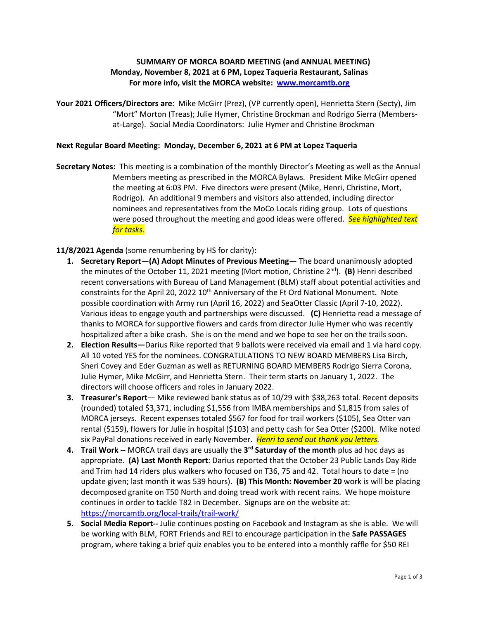## **SUMMARY OF MORCA BOARD MEETING (and ANNUAL MEETING) Monday, November 8, 2021 at 6 PM, Lopez Taqueria Restaurant, Salinas For more info, visit the MORCA website: [www.morcamtb.org](http://www.morcamtb.org/)**

**Your 2021 Officers/Directors are**: Mike McGirr (Prez), (VP currently open), Henrietta Stern (Secty), Jim "Mort" Morton (Treas); Julie Hymer, Christine Brockman and Rodrigo Sierra (Membersat-Large). Social Media Coordinators: Julie Hymer and Christine Brockman

## **Next Regular Board Meeting: Monday, December 6, 2021 at 6 PM at Lopez Taqueria**

**Secretary Notes:** This meeting is a combination of the monthly Director's Meeting as well as the Annual Members meeting as prescribed in the MORCA Bylaws. President Mike McGirr opened the meeting at 6:03 PM. Five directors were present (Mike, Henri, Christine, Mort, Rodrigo). An additional 9 members and visitors also attended, including director nominees and representatives from the MoCo Locals riding group. Lots of questions were posed throughout the meeting and good ideas were offered. *See highlighted text for tasks.*

**11/8/2021 Agenda** (some renumbering by HS for clarity)**:** 

- **1. Secretary Report—(A) Adopt Minutes of Previous Meeting—** The board unanimously adopted the minutes of the October 11, 2021 meeting (Mort motion, Christine 2<sup>nd</sup>). (B) Henri described recent conversations with Bureau of Land Management (BLM) staff about potential activities and constraints for the April 20, 2022  $10^{th}$  Anniversary of the Ft Ord National Monument. Note possible coordination with Army run (April 16, 2022) and SeaOtter Classic (April 7-10, 2022). Various ideas to engage youth and partnerships were discussed. **(C)** Henrietta read a message of thanks to MORCA for supportive flowers and cards from director Julie Hymer who was recently hospitalized after a bike crash. She is on the mend and we hope to see her on the trails soon.
- **2. Election Results—**Darius Rike reported that 9 ballots were received via email and 1 via hard copy. All 10 voted YES for the nominees. CONGRATULATIONS TO NEW BOARD MEMBERS Lisa Birch, Sheri Covey and Eder Guzman as well as RETURNING BOARD MEMBERS Rodrigo Sierra Corona, Julie Hymer, Mike McGirr, and Henrietta Stern.Their term starts on January 1, 2022. The directors will choose officers and roles in January 2022.
- **3. Treasurer's Report** Mike reviewed bank status as of 10/29 with \$38,263 total. Recent deposits (rounded) totaled \$3,371, including \$1,556 from IMBA memberships and \$1,815 from sales of MORCA jerseys. Recent expenses totaled \$567 for food for trail workers (\$105), Sea Otter van rental (\$159), flowers for Julie in hospital (\$103) and petty cash for Sea Otter (\$200). Mike noted six PayPal donations received in early November. *Henri to send out thank you letters.*
- **4. Trail Work -***-* MORCA trail days are usually the **3 rd Saturday of the month** plus ad hoc days as appropriate. **(A) Last Month Report**: Darius reported that the October 23 Public Lands Day Ride and Trim had 14 riders plus walkers who focused on T36, 75 and 42. Total hours to date = (no update given; last month it was 539 hours). **(B) This Month: November 20** work is will be placing decomposed granite on T50 North and doing tread work with recent rains. We hope moisture continues in order to tackle T82 in December. Signups are on the website at: <https://morcamtb.org/local-trails/trail-work/>
- **5. Social Media Report--** Julie continues posting on Facebook and Instagram as she is able. We will be working with BLM, FORT Friends and REI to encourage participation in the **Safe PASSAGES** program, where taking a brief quiz enables you to be entered into a monthly raffle for \$50 REI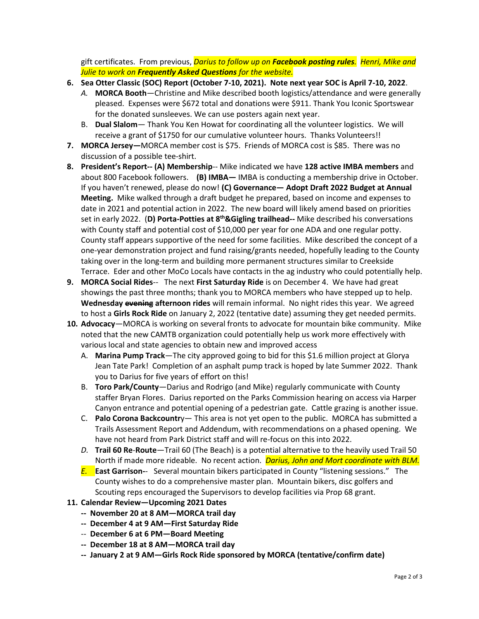gift certificates. From previous, *Darius to follow up on Facebook posting rules. Henri, Mike and Julie to work on Frequently Asked Questions for the website.* 

- **6. Sea Otter Classic (SOC) Report (October 7-10, 2021). Note next year SOC is April 7-10, 2022**.
	- *A.* **MORCA Booth**—Christine and Mike described booth logistics/attendance and were generally pleased. Expenses were \$672 total and donations were \$911. Thank You Iconic Sportswear for the donated sunsleeves. We can use posters again next year.
	- B. **Dual Slalom** Thank You Ken Howat for coordinating all the volunteer logistics. We will receive a grant of \$1750 for our cumulative volunteer hours. Thanks Volunteers!!
- **7. MORCA Jersey—**MORCA member cost is \$75. Friends of MORCA cost is \$85. There was no discussion of a possible tee-shirt.
- **8. President's Report-- (A) Membership**-- Mike indicated we have **128 active IMBA members** and about 800 Facebook followers. **(B) IMBA—** IMBA is conducting a membership drive in October. If you haven't renewed, please do now! **(C) Governance— Adopt Draft 2022 Budget at Annual Meeting.** Mike walked through a draft budget he prepared, based on income and expenses to date in 2021 and potential action in 2022. The new board will likely amend based on priorities set in early 2022.(**D) Porta-Potties at 8th&Gigling trailhead--** Mike described his conversations with County staff and potential cost of \$10,000 per year for one ADA and one regular potty. County staff appears supportive of the need for some facilities. Mike described the concept of a one-year demonstration project and fund raising/grants needed, hopefully leading to the County taking over in the long-term and building more permanent structures similar to Creekside Terrace. Eder and other MoCo Locals have contacts in the ag industry who could potentially help.
- **9. MORCA Social Rides**-- The next **First Saturday Ride** is on December 4. We have had great showings the past three months; thank you to MORCA members who have stepped up to help. **Wednesday evening afternoon rides** will remain informal. No night rides this year. We agreed to host a **Girls Rock Ride** on January 2, 2022 (tentative date) assuming they get needed permits.
- **10. Advocacy**—MORCA is working on several fronts to advocate for mountain bike community. Mike noted that the new CAMTB organization could potentially help us work more effectively with various local and state agencies to obtain new and improved access
	- A. **Marina Pump Track**—The city approved going to bid for this \$1.6 million project at Glorya Jean Tate Park! Completion of an asphalt pump track is hoped by late Summer 2022. Thank you to Darius for five years of effort on this!
	- B. **Toro Park/County**—Darius and Rodrigo (and Mike) regularly communicate with County staffer Bryan Flores. Darius reported on the Parks Commission hearing on access via Harper Canyon entrance and potential opening of a pedestrian gate. Cattle grazing is another issue.
	- C. **Palo Corona Backcountr**y— This area is not yet open to the public. MORCA has submitted a Trails Assessment Report and Addendum, with recommendations on a phased opening. We have not heard from Park District staff and will re-focus on this into 2022.
	- *D.* **Trail 60 Re**-**Route**—Trail 60 (The Beach) is a potential alternative to the heavily used Trail 50 North if made more rideable. No recent action. *Darius, John and Mort coordinate with BLM.*
	- *E.* **East Garrison-**Several mountain bikers participated in County "listening sessions." The County wishes to do a comprehensive master plan. Mountain bikers, disc golfers and Scouting reps encouraged the Supervisors to develop facilities via Prop 68 grant.
- **11. Calendar Review—Upcoming 2021 Dates** 
	- **-- November 20 at 8 AM—MORCA trail day**
	- **-- December 4 at 9 AM—First Saturday Ride**
	- -- **December 6 at 6 PM—Board Meeting**
	- **-- December 18 at 8 AM—MORCA trail day**
	- **-- January 2 at 9 AM—Girls Rock Ride sponsored by MORCA (tentative/confirm date)**